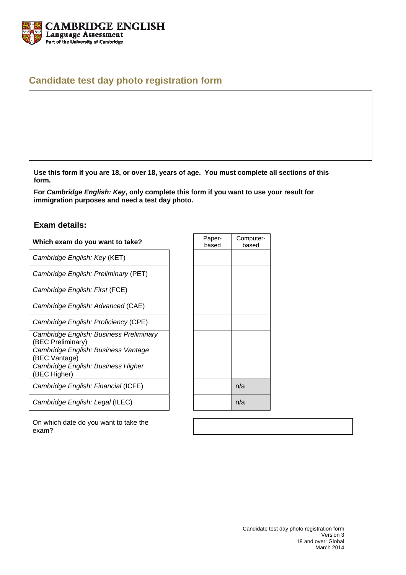

# **Candidate test day photo registration form**

**Use this form if you are 18, or over 18, years of age. You must complete all sections of this form.** 

**For** *Cambridge English: Key***, only complete this form if you want to use your result for immigration purposes and need a test day photo.** 

### **Exam details:**

#### **Which exam do you want to take?**

*Cambridge English: Key* (KET)

*Cambridge English: Preliminary* (PET)

*Cambridge English: First* (FCE)

*Cambridge English: Advanced* (CAE)

*Cambridge English: Proficiency* (CPE)

*Cambridge English: Business Preliminary*

(BEC Preliminary)

*Cambridge English: Business Vantage* (BEC Vantage)

*Cambridge English: Business Higher*  (BEC Higher)

*Cambridge English: Financial* (ICFE)

*Cambridge English: Legal* (ILEC)

| Paper-<br>based | Computer-<br>based |
|-----------------|--------------------|
|                 |                    |
|                 |                    |
|                 |                    |
|                 |                    |
|                 |                    |
|                 |                    |
|                 |                    |
|                 |                    |
|                 | n/a                |
|                 | n/a                |

On which date do you want to take the exam?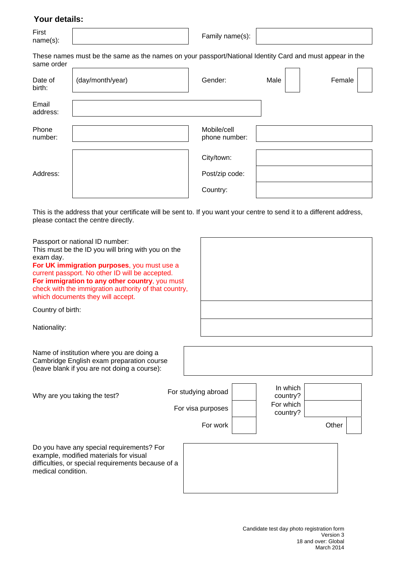### **Your details:**

First First <br>name(s):  $\left| \begin{array}{ccc} \text{Farst} & \text{Farmily name(s)} \end{array} \right|$ 

These names must be the same as the names on your passport/National Identity Card and must appear in the same order

| Date of<br>birth: | (day/month/year) | Gender:                      | Male | Female |
|-------------------|------------------|------------------------------|------|--------|
| Email<br>address: |                  |                              |      |        |
| Phone<br>number:  |                  | Mobile/cell<br>phone number: |      |        |
|                   |                  | City/town:                   |      |        |
| Address:          |                  | Post/zip code:               |      |        |
|                   |                  | Country:                     |      |        |

This is the address that your certificate will be sent to. If you want your centre to send it to a different address, please contact the centre directly.

Passport or national ID number:

This must be the ID you will bring with you on the exam day.

**For UK immigration purposes**, you must use a current passport. No other ID will be accepted. **For immigration to any other country, you must** check with the immigration authority of that country, which documents they will accept.

Country of birth:

Nationality:

Name of institution where you are doing a Cambridge English exam preparation course (leave blank if you are not doing a course):

medical condition.

| Why are you taking the test?                                                                                                              | For studying abroad<br>For visa purposes<br>For work | In which<br>country?<br>For which<br>country? | Other |
|-------------------------------------------------------------------------------------------------------------------------------------------|------------------------------------------------------|-----------------------------------------------|-------|
| Do you have any special requirements? For<br>example, modified materials for visual<br>difficulties, or special requirements because of a |                                                      |                                               |       |